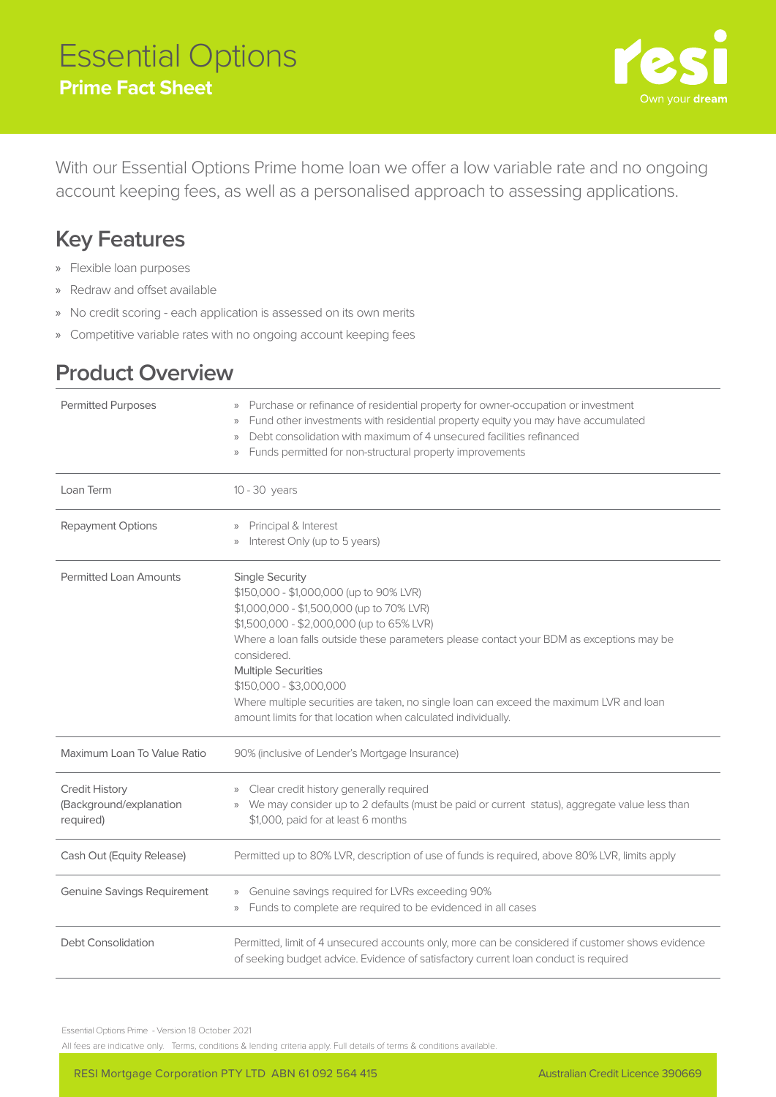## Essential Options **Prime Fact Sheet**



With our Essential Options Prime home loan we offer a low variable rate and no ongoing account keeping fees, as well as a personalised approach to assessing applications.

## **Key Features**

- » Flexible loan purposes
- » Redraw and offset available
- » No credit scoring each application is assessed on its own merits
- » Competitive variable rates with no ongoing account keeping fees

## **Product Overview**

| <b>Permitted Purposes</b>                                     | » Purchase or refinance of residential property for owner-occupation or investment<br>Fund other investments with residential property equity you may have accumulated<br>$\rangle$<br>Debt consolidation with maximum of 4 unsecured facilities refinanced<br>$\rangle$<br>Funds permitted for non-structural property improvements<br>$\rangle\rangle$                                                                                                                                    |
|---------------------------------------------------------------|---------------------------------------------------------------------------------------------------------------------------------------------------------------------------------------------------------------------------------------------------------------------------------------------------------------------------------------------------------------------------------------------------------------------------------------------------------------------------------------------|
| Loan Term                                                     | 10 - 30 years                                                                                                                                                                                                                                                                                                                                                                                                                                                                               |
| Repayment Options                                             | Principal & Interest<br>$\rangle$<br>Interest Only (up to 5 years)<br>$\rangle\rangle$                                                                                                                                                                                                                                                                                                                                                                                                      |
| <b>Permitted Loan Amounts</b>                                 | <b>Single Security</b><br>\$150,000 - \$1,000,000 (up to 90% LVR)<br>\$1,000,000 - \$1,500,000 (up to 70% LVR)<br>\$1,500,000 - \$2,000,000 (up to 65% LVR)<br>Where a loan falls outside these parameters please contact your BDM as exceptions may be<br>considered.<br><b>Multiple Securities</b><br>\$150,000 - \$3,000,000<br>Where multiple securities are taken, no single loan can exceed the maximum LVR and loan<br>amount limits for that location when calculated individually. |
| Maximum Loan To Value Ratio                                   | 90% (inclusive of Lender's Mortgage Insurance)                                                                                                                                                                                                                                                                                                                                                                                                                                              |
| <b>Credit History</b><br>(Background/explanation<br>required) | Clear credit history generally required<br>$\rangle$<br>We may consider up to 2 defaults (must be paid or current status), aggregate value less than<br>$\rangle\rangle$<br>\$1,000, paid for at least 6 months                                                                                                                                                                                                                                                                             |
| Cash Out (Equity Release)                                     | Permitted up to 80% LVR, description of use of funds is required, above 80% LVR, limits apply                                                                                                                                                                                                                                                                                                                                                                                               |
| <b>Genuine Savings Requirement</b>                            | Genuine savings required for LVRs exceeding 90%<br>$\rangle\rangle$<br>Funds to complete are required to be evidenced in all cases<br>$\rangle\rangle$                                                                                                                                                                                                                                                                                                                                      |
| Debt Consolidation                                            | Permitted, limit of 4 unsecured accounts only, more can be considered if customer shows evidence<br>of seeking budget advice. Evidence of satisfactory current loan conduct is required                                                                                                                                                                                                                                                                                                     |

Essential Options Prime - Version 18 October 2021

All fees are indicative only. Terms, conditions & lending criteria apply. Full details of terms & conditions available.